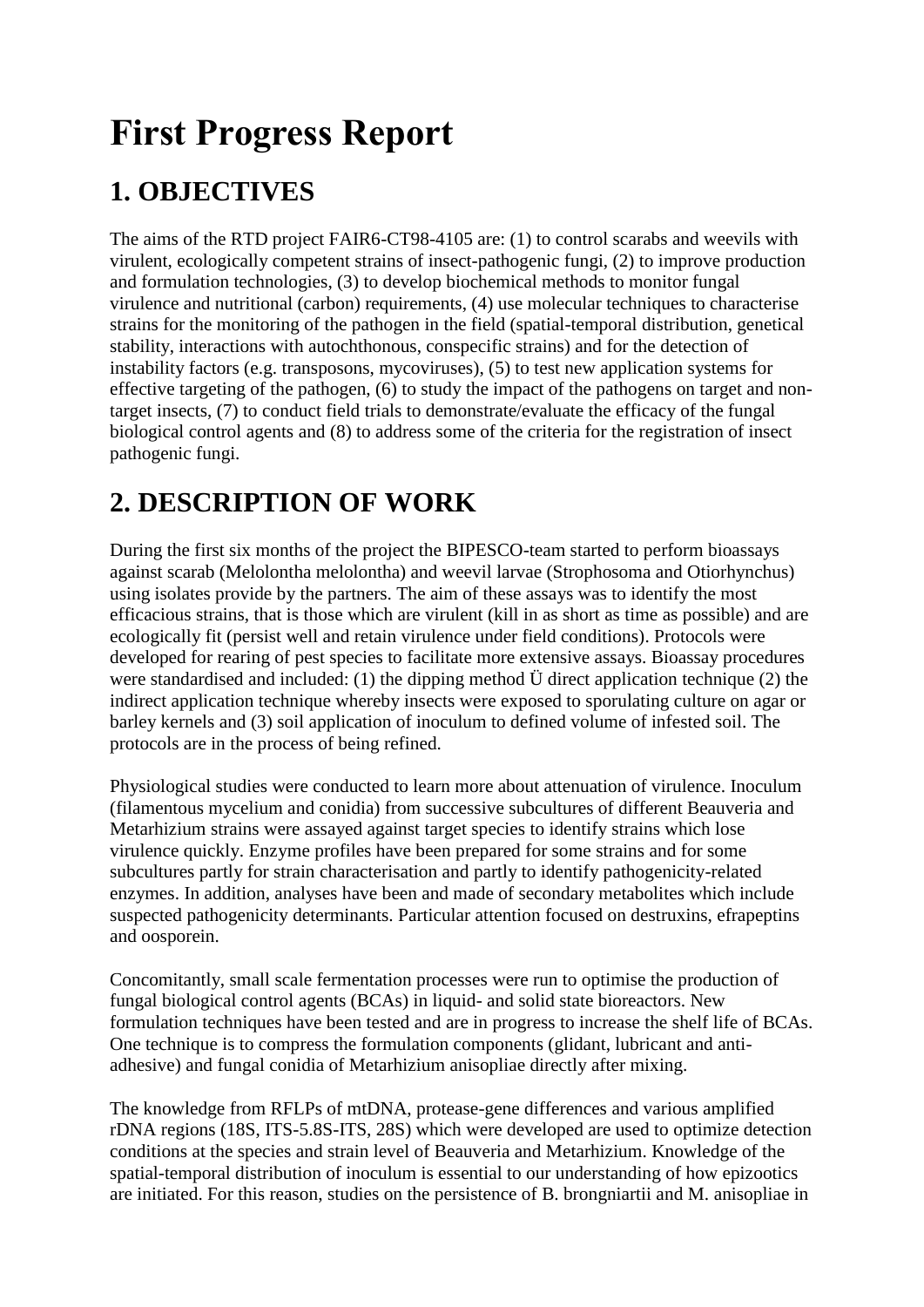# **First Progress Report**

# **1. OBJECTIVES**

The aims of the RTD project FAIR6-CT98-4105 are: (1) to control scarabs and weevils with virulent, ecologically competent strains of insect-pathogenic fungi, (2) to improve production and formulation technologies, (3) to develop biochemical methods to monitor fungal virulence and nutritional (carbon) requirements, (4) use molecular techniques to characterise strains for the monitoring of the pathogen in the field (spatial-temporal distribution, genetical stability, interactions with autochthonous, conspecific strains) and for the detection of instability factors (e.g. transposons, mycoviruses), (5) to test new application systems for effective targeting of the pathogen, (6) to study the impact of the pathogens on target and nontarget insects, (7) to conduct field trials to demonstrate/evaluate the efficacy of the fungal biological control agents and (8) to address some of the criteria for the registration of insect pathogenic fungi.

### **2. DESCRIPTION OF WORK**

During the first six months of the project the BIPESCO-team started to perform bioassays against scarab (Melolontha melolontha) and weevil larvae (Strophosoma and Otiorhynchus) using isolates provide by the partners. The aim of these assays was to identify the most efficacious strains, that is those which are virulent (kill in as short as time as possible) and are ecologically fit (persist well and retain virulence under field conditions). Protocols were developed for rearing of pest species to facilitate more extensive assays. Bioassay procedures were standardised and included: (1) the dipping method Ü direct application technique (2) the indirect application technique whereby insects were exposed to sporulating culture on agar or barley kernels and (3) soil application of inoculum to defined volume of infested soil. The protocols are in the process of being refined.

Physiological studies were conducted to learn more about attenuation of virulence. Inoculum (filamentous mycelium and conidia) from successive subcultures of different Beauveria and Metarhizium strains were assayed against target species to identify strains which lose virulence quickly. Enzyme profiles have been prepared for some strains and for some subcultures partly for strain characterisation and partly to identify pathogenicity-related enzymes. In addition, analyses have been and made of secondary metabolites which include suspected pathogenicity determinants. Particular attention focused on destruxins, efrapeptins and oosporein.

Concomitantly, small scale fermentation processes were run to optimise the production of fungal biological control agents (BCAs) in liquid- and solid state bioreactors. New formulation techniques have been tested and are in progress to increase the shelf life of BCAs. One technique is to compress the formulation components (glidant, lubricant and antiadhesive) and fungal conidia of Metarhizium anisopliae directly after mixing.

The knowledge from RFLPs of mtDNA, protease-gene differences and various amplified rDNA regions (18S, ITS-5.8S-ITS, 28S) which were developed are used to optimize detection conditions at the species and strain level of Beauveria and Metarhizium. Knowledge of the spatial-temporal distribution of inoculum is essential to our understanding of how epizootics are initiated. For this reason, studies on the persistence of B. brongniartii and M. anisopliae in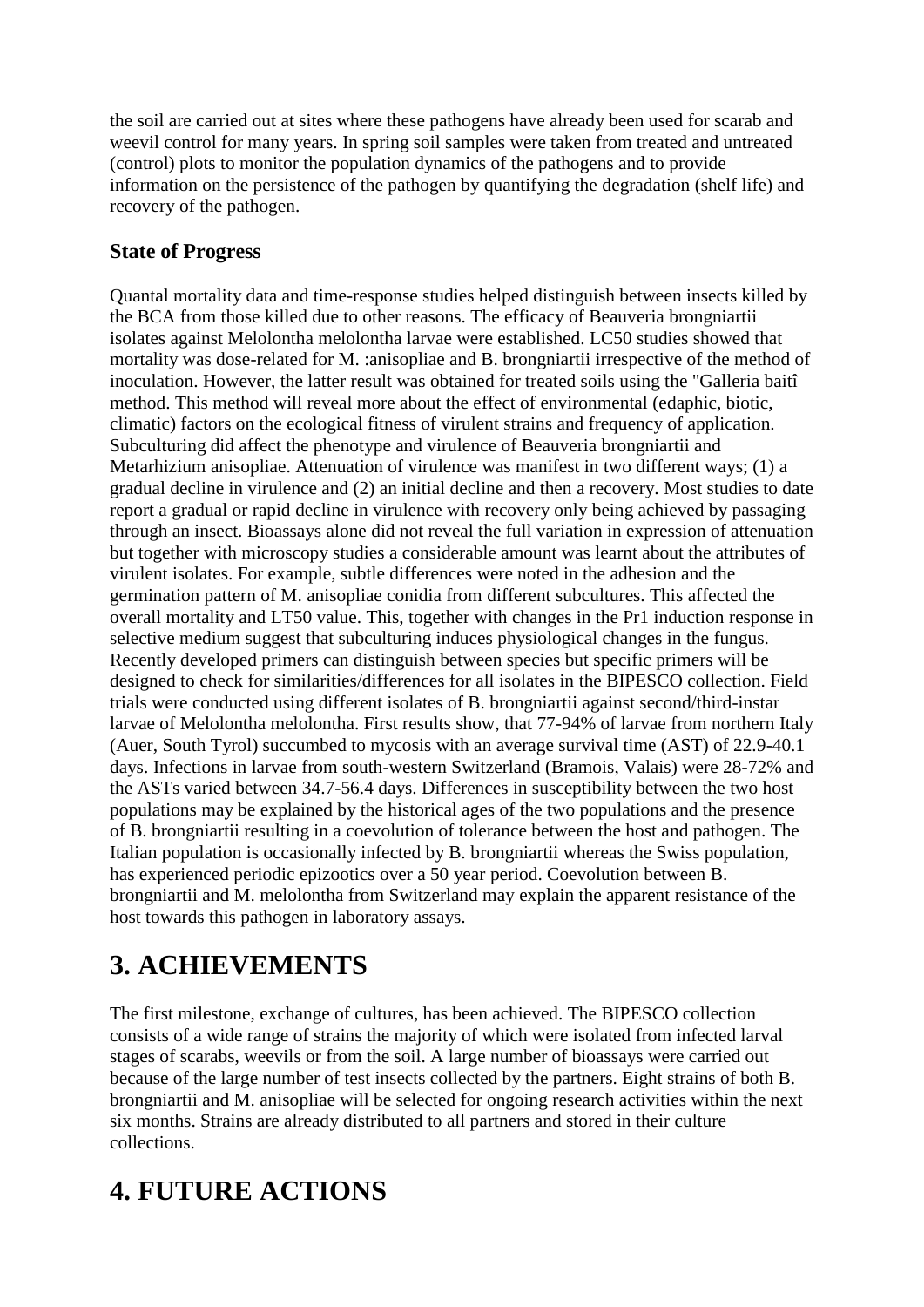the soil are carried out at sites where these pathogens have already been used for scarab and weevil control for many years. In spring soil samples were taken from treated and untreated (control) plots to monitor the population dynamics of the pathogens and to provide information on the persistence of the pathogen by quantifying the degradation (shelf life) and recovery of the pathogen.

#### **State of Progress**

Quantal mortality data and time-response studies helped distinguish between insects killed by the BCA from those killed due to other reasons. The efficacy of Beauveria brongniartii isolates against Melolontha melolontha larvae were established. LC50 studies showed that mortality was dose-related for M. :anisopliae and B. brongniartii irrespective of the method of inoculation. However, the latter result was obtained for treated soils using the "Galleria baitî method. This method will reveal more about the effect of environmental (edaphic, biotic, climatic) factors on the ecological fitness of virulent strains and frequency of application. Subculturing did affect the phenotype and virulence of Beauveria brongniartii and Metarhizium anisopliae. Attenuation of virulence was manifest in two different ways; (1) a gradual decline in virulence and (2) an initial decline and then a recovery. Most studies to date report a gradual or rapid decline in virulence with recovery only being achieved by passaging through an insect. Bioassays alone did not reveal the full variation in expression of attenuation but together with microscopy studies a considerable amount was learnt about the attributes of virulent isolates. For example, subtle differences were noted in the adhesion and the germination pattern of M. anisopliae conidia from different subcultures. This affected the overall mortality and LT50 value. This, together with changes in the Pr1 induction response in selective medium suggest that subculturing induces physiological changes in the fungus. Recently developed primers can distinguish between species but specific primers will be designed to check for similarities/differences for all isolates in the BIPESCO collection. Field trials were conducted using different isolates of B. brongniartii against second/third-instar larvae of Melolontha melolontha. First results show, that 77-94% of larvae from northern Italy (Auer, South Tyrol) succumbed to mycosis with an average survival time (AST) of 22.9-40.1 days. Infections in larvae from south-western Switzerland (Bramois, Valais) were 28-72% and the ASTs varied between 34.7-56.4 days. Differences in susceptibility between the two host populations may be explained by the historical ages of the two populations and the presence of B. brongniartii resulting in a coevolution of tolerance between the host and pathogen. The Italian population is occasionally infected by B. brongniartii whereas the Swiss population, has experienced periodic epizootics over a 50 year period. Coevolution between B. brongniartii and M. melolontha from Switzerland may explain the apparent resistance of the host towards this pathogen in laboratory assays.

### **3. ACHIEVEMENTS**

The first milestone, exchange of cultures, has been achieved. The BIPESCO collection consists of a wide range of strains the majority of which were isolated from infected larval stages of scarabs, weevils or from the soil. A large number of bioassays were carried out because of the large number of test insects collected by the partners. Eight strains of both B. brongniartii and M. anisopliae will be selected for ongoing research activities within the next six months. Strains are already distributed to all partners and stored in their culture collections.

## **4. FUTURE ACTIONS**